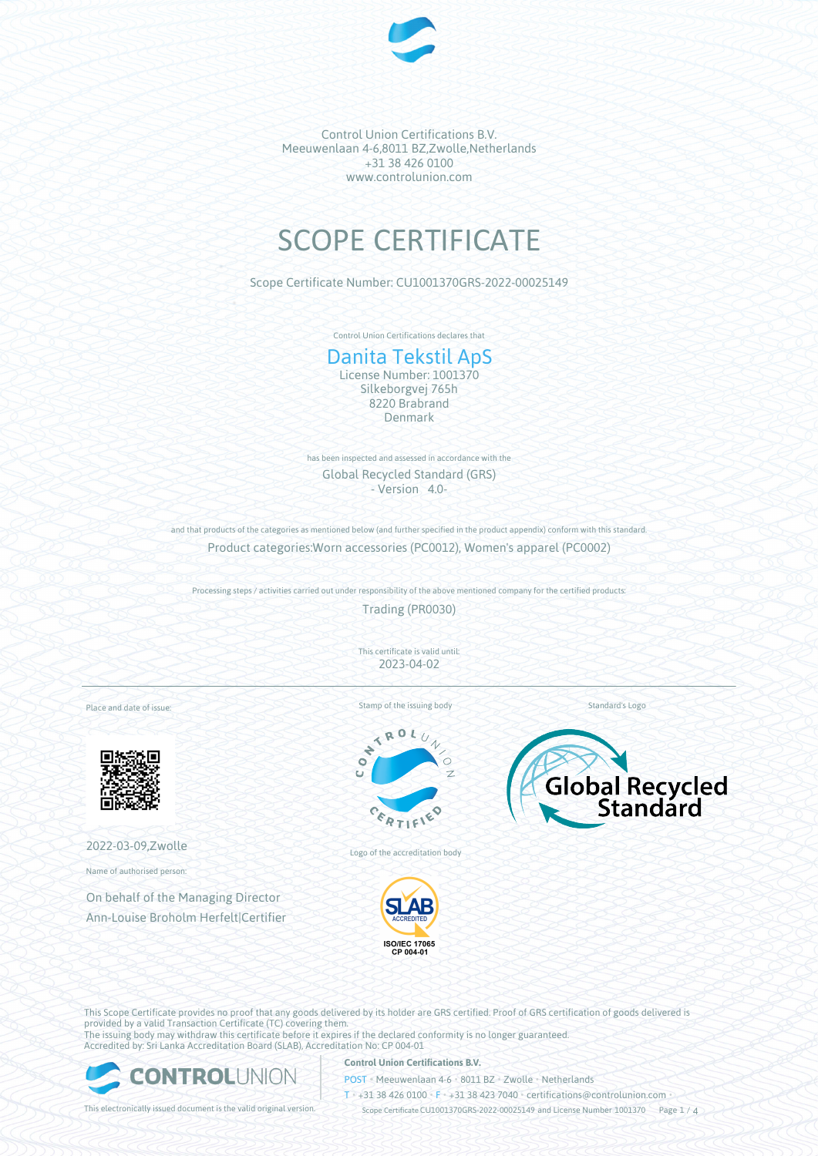

# SCOPE CERTIFICATE

Scope Certificate Number: CU1001370GRS-2022-00025149

Control Union Certifications declares that

# Danita Tekstil ApS

License Number: 1001370 Silkeborgvej 765h 8220 Brabrand Denmark

has been inspected and assessed in accordance with the Global Recycled Standard (GRS) - Version 4.0-

and that products of the categories as mentioned below (and further specified in the product appendix) conform with this standard. Product categories:Worn accessories (PC0012), Women's apparel (PC0002)

Processing steps / activities carried out under responsibility of the above mentioned company for the certified products:

Trading (PR0030)

This certificate is valid until: 2023-04-02

Place and date of issue:



2022-03-09,Zwolle

Name of authorised person:

On behalf of the Managing Director Ann-Louise Broholm Herfelt|Certifier Stamp of the issuing body

 $\overline{\mathbf{A}}$  $\mathcal{N}_0$ E





ISO/IEC 17065<br>CP 004-01

Logo of the accreditation body

This Scope Certificate provides no proof that any goods delivered by its holder are GRS certified. Proof of GRS certification of goods delivered is provided by a valid Transaction Certificate (TC) covering them. The issuing body may withdraw this certificate before it expires if the declared conformity is no longer guaranteed. Accredited by: Sri Lanka Accreditation Board (SLAB), Accreditation No: CP 004-01



#### **Control Union Certifications B.V.**

POST • Meeuwenlaan 4-6 • 8011 BZ • Zwolle • Netherlands

T • +31 38 426 0100 • F • +31 38 423 7040 • certifications@controlunion.com •

This electronically issued document is the valid original version. Scope Certificate CU1001370GRS-2022-00025149 and License Number 1001370 Page 1 / 4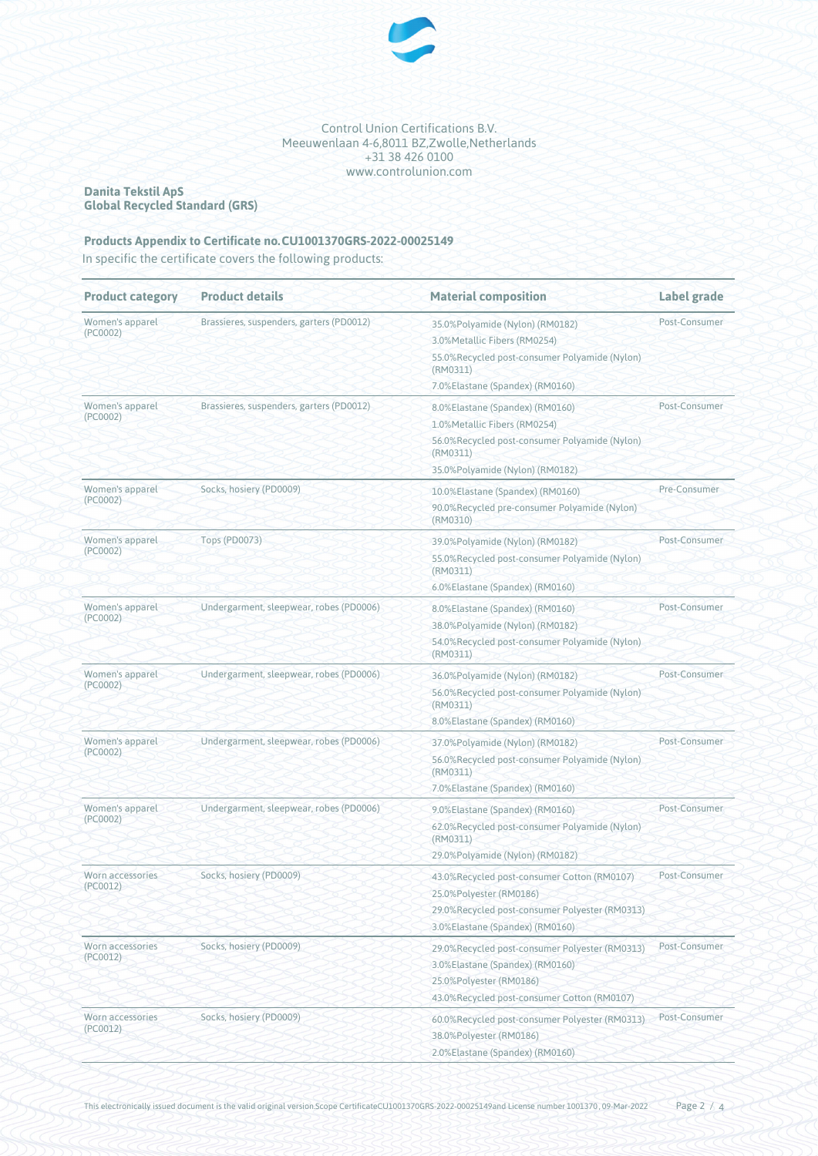

#### **Danita Tekstil ApS Global Recycled Standard (GRS)**

# **Products Appendix to Certificate no.CU1001370GRS-2022-00025149**

In specific the certificate covers the following products:

| <b>Product category</b>      | <b>Product details</b>                   | <b>Material composition</b>                                                                                                                                        | Label grade   |
|------------------------------|------------------------------------------|--------------------------------------------------------------------------------------------------------------------------------------------------------------------|---------------|
| Women's apparel<br>(PC0002)  | Brassieres, suspenders, garters (PD0012) | 35.0%Polyamide (Nylon) (RM0182)<br>3.0%Metallic Fibers (RM0254)<br>55.0%Recycled post-consumer Polyamide (Nylon)<br>(RM0311)<br>7.0%Elastane (Spandex) (RM0160)    | Post-Consumer |
| Women's apparel<br>(PC0002)  | Brassieres, suspenders, garters (PD0012) | 8.0%Elastane (Spandex) (RM0160)<br>1.0%Metallic Fibers (RM0254)<br>56.0%Recycled post-consumer Polyamide (Nylon)<br>(RM0311)<br>35.0%Polyamide (Nylon) (RM0182)    | Post-Consumer |
| Women's apparel<br>(PC0002)  | Socks, hosiery (PD0009)                  | 10.0%Elastane (Spandex) (RM0160)<br>90.0%Recycled pre-consumer Polyamide (Nylon)<br>(RM0310)                                                                       | Pre-Consumer  |
| Women's apparel<br>(PC0002)  | <b>Tops (PD0073)</b>                     | 39.0%Polyamide (Nylon) (RM0182)<br>55.0%Recycled post-consumer Polyamide (Nylon)<br>(RM0311)<br>6.0%Elastane (Spandex) (RM0160)                                    | Post-Consumer |
| Women's apparel<br>(PC0002)  | Undergarment, sleepwear, robes (PD0006)  | 8.0%Elastane (Spandex) (RM0160)<br>38.0%Polyamide (Nylon) (RM0182)<br>54.0%Recycled post-consumer Polyamide (Nylon)<br>(RM0311)                                    | Post-Consumer |
| Women's apparel<br>(PC0002)  | Undergarment, sleepwear, robes (PD0006)  | 36.0%Polyamide (Nylon) (RM0182)<br>56.0%Recycled post-consumer Polyamide (Nylon)<br>(RM0311)<br>8.0%Elastane (Spandex) (RM0160)                                    | Post-Consumer |
| Women's apparel<br>(PC0002)  | Undergarment, sleepwear, robes (PD0006)  | 37.0%Polyamide (Nylon) (RM0182)<br>56.0%Recycled post-consumer Polyamide (Nylon)<br>(RM0311)                                                                       | Post-Consumer |
| Women's apparel<br>(PC0002)  | Undergarment, sleepwear, robes (PD0006)  | 7.0%Elastane (Spandex) (RM0160)<br>9.0%Elastane (Spandex) (RM0160)<br>62.0%Recycled post-consumer Polyamide (Nylon)<br>(RM0311)<br>29.0%Polyamide (Nylon) (RM0182) | Post-Consumer |
| Worn accessories<br>(PC0012) | Socks, hosiery (PD0009)                  | 43.0%Recycled post-consumer Cotton (RM0107)<br>25.0%Polyester (RM0186)<br>29.0%Recycled post-consumer Polyester (RM0313)<br>3.0%Elastane (Spandex) (RM0160)        | Post-Consumer |
| Worn accessories<br>(PC0012) | Socks, hosiery (PD0009)                  | 29.0%Recycled post-consumer Polyester (RM0313)<br>3.0%Elastane (Spandex) (RM0160)<br>25.0%Polyester (RM0186)<br>43.0%Recycled post-consumer Cotton (RM0107)        | Post-Consumer |
| Worn accessories<br>(PC0012) | Socks, hosiery (PD0009)                  | 60.0%Recycled post-consumer Polyester (RM0313)<br>38.0%Polyester (RM0186)<br>2.0%Elastane (Spandex) (RM0160)                                                       | Post-Consumer |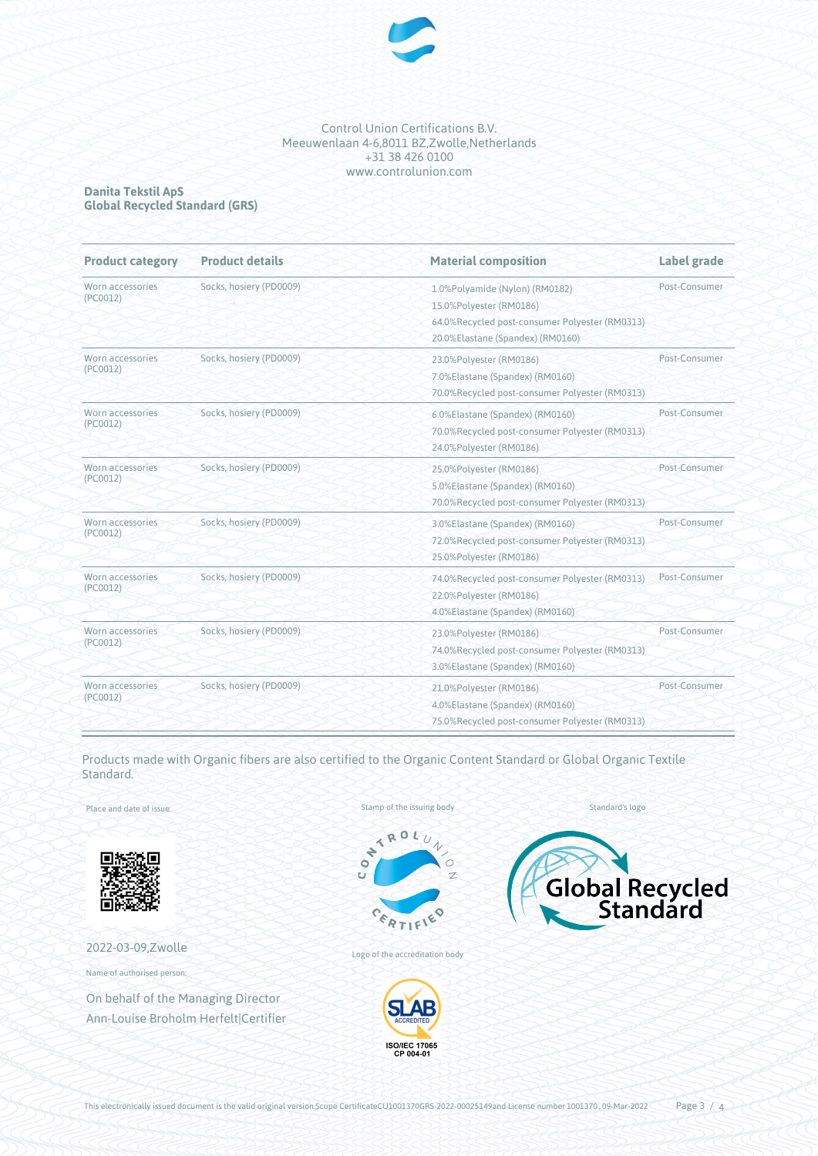

#### **Danita Tekstil ApS Global Recycled Standard (GRS)**

| <b>Product category</b>      | <b>Product details</b>  | <b>Material composition</b>                                                                                                                     | Label grade   |
|------------------------------|-------------------------|-------------------------------------------------------------------------------------------------------------------------------------------------|---------------|
| Worn accessories<br>(PC0012) | Socks, hosiery (PD0009) | 1.0%Polyamide (Nylon) (RM0182)<br>15.0%Polyester (RM0186)<br>64.0%Recycled post-consumer Polyester (RM0313)<br>20.0%Elastane (Spandex) (RM0160) | Post-Consumer |
| Worn accessories<br>(PC0012) | Socks, hosiery (PD0009) | 23.0%Polyester (RM0186)<br>7.0%Elastane (Spandex) (RM0160)<br>70.0%Recycled post-consumer Polyester (RM0313)                                    | Post-Consumer |
| Worn accessories<br>(PC0012) | Socks, hosiery (PD0009) | 6.0%Elastane (Spandex) (RM0160)<br>70.0%Recycled post-consumer Polyester (RM0313)<br>24.0%Polyester (RM0186)                                    | Post-Consumer |
| Worn accessories<br>(PC0012) | Socks, hosiery (PD0009) | 25.0%Polyester (RM0186)<br>5.0%Elastane (Spandex) (RM0160)<br>70.0%Recycled post-consumer Polyester (RM0313)                                    | Post-Consumer |
| Worn accessories<br>(PC0012) | Socks, hosiery (PD0009) | 3.0%Elastane (Spandex) (RM0160)<br>72.0%Recycled post-consumer Polyester (RM0313)<br>25.0%Polyester (RM0186)                                    | Post-Consumer |
| Worn accessories<br>(PC0012) | Socks, hosiery (PD0009) | 74.0%Recycled post-consumer Polyester (RM0313)<br>22.0%Polyester (RM0186)<br>4.0%Elastane (Spandex) (RM0160)                                    | Post-Consumer |
| Worn accessories<br>(PC0012) | Socks, hosiery (PD0009) | 23.0%Polyester (RM0186)<br>74.0%Recycled post-consumer Polyester (RM0313)<br>3.0%Elastane (Spandex) (RM0160)                                    | Post-Consumer |
| Worn accessories<br>(PC0012) | Socks, hosiery (PD0009) | 21.0%Polyester (RM0186)<br>4.0%Elastane (Spandex) (RM0160)<br>75.0%Recycled post-consumer Polyester (RM0313)                                    | Post-Consumer |

Products made with Organic fibers are also certified to the Organic Content Standard or Global Organic Textile Standard.

Place and date of issue:



# 2022-03-09,Zwolle

Name of authorised person:

On behalf of the Managing Director Ann-Louise Broholm Herfelt|Certifier Stamp of the issuing body



Standard's logo



Logo of the accreditation body